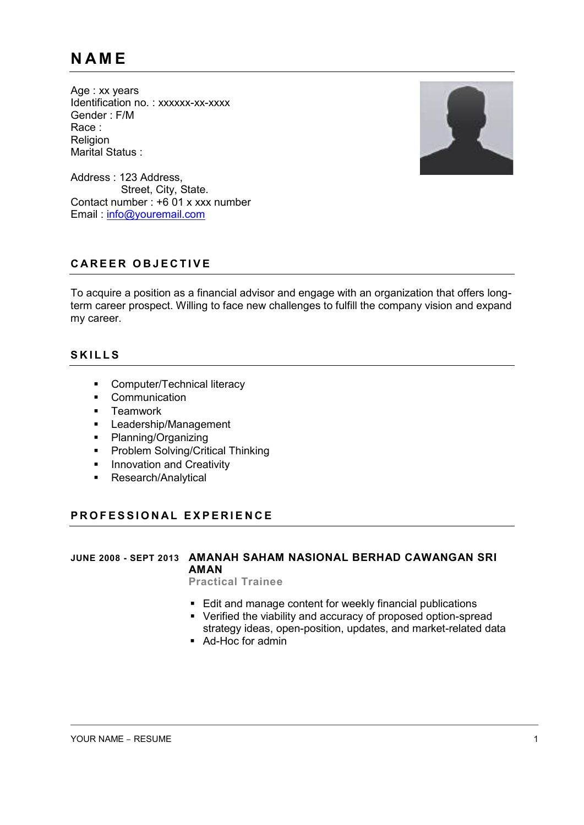Age : xx years Identification no.: xxxxxx-xx-xxxx Gender : F/M Race : Religion Marital Status :



Address : 123 Address, Street, City, State. Contact number : +6 01 x xxx number Email : [info@youremail.com](mailto:info@youremail.com)

## **C A R E E R O B J E C T I V E**

To acquire a position as a financial advisor and engage with an organization that offers longterm career prospect. Willing to face new challenges to fulfill the company vision and expand my career.

# **S K I L L S**

- **•** Computer/Technical literacy
- **•** Communication
- **-** Teamwork
- **Leadership/Management**
- Planning/Organizing
- **•** Problem Solving/Critical Thinking
- **Innovation and Creativity**
- **Research/Analytical**

## **P R O F E S S I O N A L EXPE R I E N C E**

# **JUNE 2008 - SEPT 2013 AMANAH SAHAM NASIONAL BERHAD CAWANGAN SRI AMAN**

**Practical Trainee**

- **Edit and manage content for weekly financial publications**
- Verified the viability and accuracy of proposed option-spread strategy ideas, open-position, updates, and market-related data
- Ad-Hoc for admin